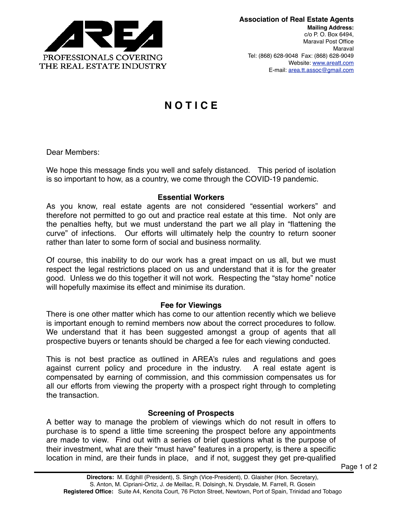

# **N O T I C E**

Dear Members:

We hope this message finds you well and safely distanced. This period of isolation is so important to how, as a country, we come through the COVID-19 pandemic.

#### **Essential Workers**

As you know, real estate agents are not considered "essential workers" and therefore not permitted to go out and practice real estate at this time. Not only are the penalties hefty, but we must understand the part we all play in "flattening the curve" of infections. Our efforts will ultimately help the country to return sooner rather than later to some form of social and business normality.

Of course, this inability to do our work has a great impact on us all, but we must respect the legal restrictions placed on us and understand that it is for the greater good. Unless we do this together it will not work. Respecting the "stay home" notice will hopefully maximise its effect and minimise its duration.

## **Fee for Viewings**

There is one other matter which has come to our attention recently which we believe is important enough to remind members now about the correct procedures to follow. We understand that it has been suggested amongst a group of agents that all prospective buyers or tenants should be charged a fee for each viewing conducted.

This is not best practice as outlined in AREA's rules and regulations and goes against current policy and procedure in the industry. A real estate agent is compensated by earning of commission, and this commission compensates us for all our efforts from viewing the property with a prospect right through to completing the transaction.

## **Screening of Prospects**

A better way to manage the problem of viewings which do not result in offers to purchase is to spend a little time screening the prospect before any appointments are made to view. Find out with a series of brief questions what is the purpose of their investment, what are their "must have" features in a property, is there a specific location in mind, are their funds in place, and if not, suggest they get pre-qualified